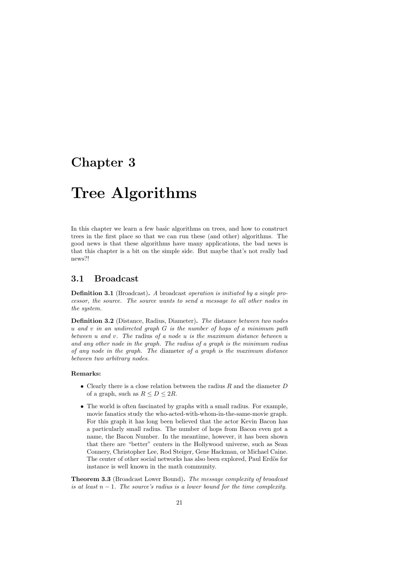# Chapter 3

# Tree Algorithms

In this chapter we learn a few basic algorithms on trees, and how to construct trees in the first place so that we can run these (and other) algorithms. The good news is that these algorithms have many applications, the bad news is that this chapter is a bit on the simple side. But maybe that's not really bad news?!

# 3.1 Broadcast

Definition 3.1 (Broadcast). A broadcast operation is initiated by a single processor, the source. The source wants to send a message to all other nodes in the system.

Definition 3.2 (Distance, Radius, Diameter). The distance between two nodes u and v in an undirected graph  $G$  is the number of hops of a minimum path between u and v. The radius of a node u is the maximum distance between u and any other node in the graph. The radius of a graph is the minimum radius of any node in the graph. The diameter of a graph is the maximum distance between two arbitrary nodes.

#### Remarks:

- Clearly there is a close relation between the radius  $R$  and the diameter  $D$ of a graph, such as  $R \le D \le 2R$ .
- The world is often fascinated by graphs with a small radius. For example, movie fanatics study the who-acted-with-whom-in-the-same-movie graph. For this graph it has long been believed that the actor Kevin Bacon has a particularly small radius. The number of hops from Bacon even got a name, the Bacon Number. In the meantime, however, it has been shown that there are "better" centers in the Hollywood universe, such as Sean Connery, Christopher Lee, Rod Steiger, Gene Hackman, or Michael Caine. The center of other social networks has also been explored, Paul Erdös for instance is well known in the math community.

Theorem 3.3 (Broadcast Lower Bound). The message complexity of broadcast is at least  $n - 1$ . The source's radius is a lower bound for the time complexity.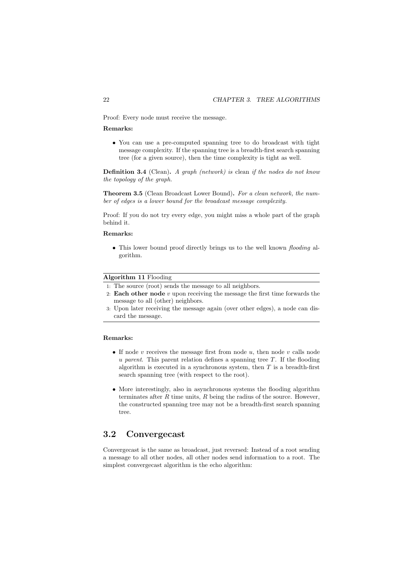Proof: Every node must receive the message.

#### Remarks:

• You can use a pre-computed spanning tree to do broadcast with tight message complexity. If the spanning tree is a breadth-first search spanning tree (for a given source), then the time complexity is tight as well.

**Definition 3.4** (Clean). A graph (network) is clean if the nodes do not know the topology of the graph.

Theorem 3.5 (Clean Broadcast Lower Bound). For a clean network, the number of edges is a lower bound for the broadcast message complexity.

Proof: If you do not try every edge, you might miss a whole part of the graph behind it.

### Remarks:

• This lower bound proof directly brings us to the well known *flooding* algorithm.

### Algorithm 11 Flooding

1: The source (root) sends the message to all neighbors.

- 2: **Each other node** v upon receiving the message the first time forwards the message to all (other) neighbors.
- 3: Upon later receiving the message again (over other edges), a node can discard the message.

#### Remarks:

- If node  $v$  receives the message first from node  $u$ , then node  $v$  calls node u parent. This parent relation defines a spanning tree  $T$ . If the flooding algorithm is executed in a synchronous system, then  $T$  is a breadth-first search spanning tree (with respect to the root).
- More interestingly, also in asynchronous systems the flooding algorithm terminates after  $R$  time units,  $R$  being the radius of the source. However, the constructed spanning tree may not be a breadth-first search spanning tree.

## 3.2 Convergecast

Convergecast is the same as broadcast, just reversed: Instead of a root sending a message to all other nodes, all other nodes send information to a root. The simplest convergecast algorithm is the echo algorithm: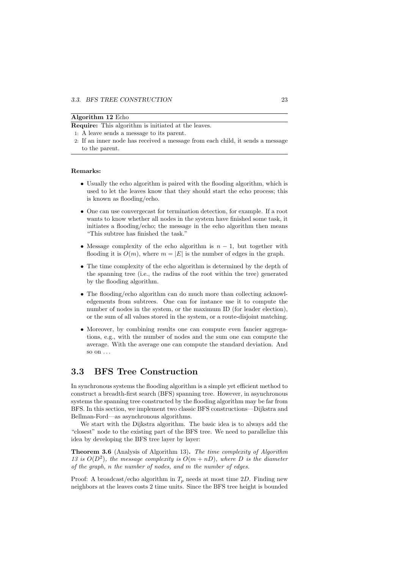| Algorithm 12 Echo |  |  |
|-------------------|--|--|
|-------------------|--|--|

Require: This algorithm is initiated at the leaves.

1: A leave sends a message to its parent.

2: If an inner node has received a message from each child, it sends a message to the parent.

#### Remarks:

- Usually the echo algorithm is paired with the flooding algorithm, which is used to let the leaves know that they should start the echo process; this is known as flooding/echo.
- One can use convergecast for termination detection, for example. If a root wants to know whether all nodes in the system have finished some task, it initiates a flooding/echo; the message in the echo algorithm then means "This subtree has finished the task."
- Message complexity of the echo algorithm is  $n-1$ , but together with flooding it is  $O(m)$ , where  $m = |E|$  is the number of edges in the graph.
- The time complexity of the echo algorithm is determined by the depth of the spanning tree (i.e., the radius of the root within the tree) generated by the flooding algorithm.
- The flooding/echo algorithm can do much more than collecting acknowledgements from subtrees. One can for instance use it to compute the number of nodes in the system, or the maximum ID (for leader election), or the sum of all values stored in the system, or a route-disjoint matching.
- Moreover, by combining results one can compute even fancier aggregations, e.g., with the number of nodes and the sum one can compute the average. With the average one can compute the standard deviation. And so on  $\ldots$

# 3.3 BFS Tree Construction

In synchronous systems the flooding algorithm is a simple yet efficient method to construct a breadth-first search (BFS) spanning tree. However, in asynchronous systems the spanning tree constructed by the flooding algorithm may be far from BFS. In this section, we implement two classic BFS constructions—Dijkstra and Bellman-Ford—as asynchronous algorithms.

We start with the Dijkstra algorithm. The basic idea is to always add the "closest" node to the existing part of the BFS tree. We need to parallelize this idea by developing the BFS tree layer by layer:

Theorem 3.6 (Analysis of Algorithm 13). The time complexity of Algorithm 13 is  $O(D^2)$ , the message complexity is  $O(m + nD)$ , where D is the diameter of the graph, n the number of nodes, and m the number of edges.

Proof: A broadcast/echo algorithm in  $T_p$  needs at most time 2D. Finding new neighbors at the leaves costs 2 time units. Since the BFS tree height is bounded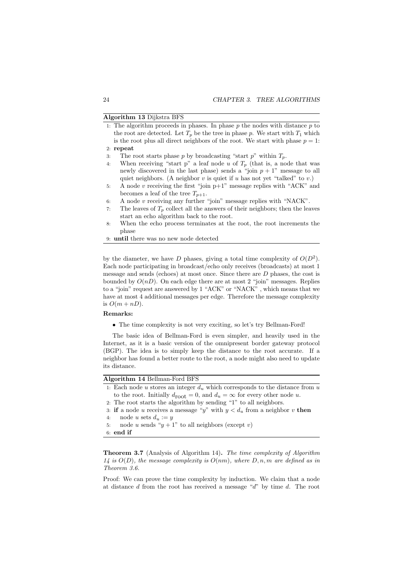#### Algorithm 13 Dijkstra BFS

- 1: The algorithm proceeds in phases. In phase  $p$  the nodes with distance  $p$  to the root are detected. Let  $T_p$  be the tree in phase p. We start with  $T_1$  which is the root plus all direct neighbors of the root. We start with phase  $p = 1$ : 2: repeat
- 3: The root starts phase p by broadcasting "start  $p$ " within  $T_p$ .
- 4: When receiving "start p" a leaf node u of  $T_p$  (that is, a node that was newly discovered in the last phase) sends a "join  $p + 1$ " message to all quiet neighbors. (A neighbor  $v$  is quiet if  $u$  has not yet "talked" to  $v$ .)
- 5: A node  $v$  receiving the first "join  $p+1$ " message replies with "ACK" and becomes a leaf of the tree  $T_{p+1}$ .
- 6: A node  $v$  receiving any further "join" message replies with "NACK".
- 7: The leaves of  $T_p$  collect all the answers of their neighbors; then the leaves start an echo algorithm back to the root.
- 8: When the echo process terminates at the root, the root increments the phase
- 9: until there was no new node detected

by the diameter, we have D phases, giving a total time complexity of  $O(D^2)$ . Each node participating in broadcast/echo only receives (broadcasts) at most 1 message and sends (echoes) at most once. Since there are  $D$  phases, the cost is bounded by  $O(nD)$ . On each edge there are at most 2 "join" messages. Replies to a "join" request are answered by 1 "ACK" or "NACK" , which means that we have at most 4 additional messages per edge. Therefore the message complexity is  $O(m + nD)$ .

### Remarks:

• The time complexity is not very exciting, so let's try Bellman-Ford!

The basic idea of Bellman-Ford is even simpler, and heavily used in the Internet, as it is a basic version of the omnipresent border gateway protocol (BGP). The idea is to simply keep the distance to the root accurate. If a neighbor has found a better route to the root, a node might also need to update its distance.

| <b>Algorithm 14 Bellman-Ford BFS</b>                                                      |
|-------------------------------------------------------------------------------------------|
| 1: Each node u stores an integer $d_u$ which corresponds to the distance from u           |
| to the root. Initially $d_{\text{root}} = 0$ , and $d_u = \infty$ for every other node u. |
| 2. The root starts the algorithm by sending "1" to all neighbors.                         |
| 3: if a node u receives a message "y" with $y < d_u$ from a neighbor v then               |
| node u sets $d_u := u$<br>4:                                                              |
| node u sends " $y + 1$ " to all neighbors (except v)<br>5:                                |
| $6:$ end if                                                                               |
|                                                                                           |
|                                                                                           |

Theorem 3.7 (Analysis of Algorithm 14). The time complexity of Algorithm 14 is  $O(D)$ , the message complexity is  $O(nm)$ , where  $D, n, m$  are defined as in Theorem 3.6.

Proof: We can prove the time complexity by induction. We claim that a node at distance d from the root has received a message "d" by time d. The root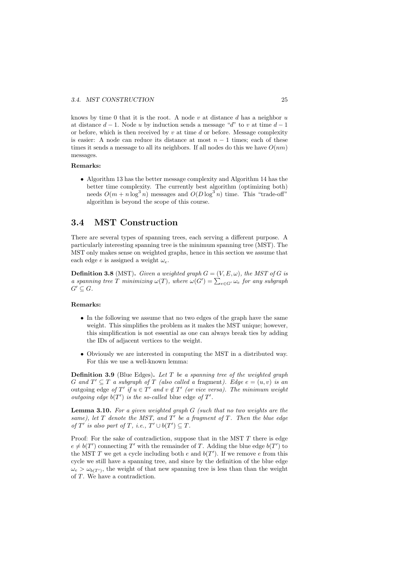knows by time 0 that it is the root. A node v at distance d has a neighbor  $u$ at distance  $d-1$ . Node u by induction sends a message "d" to v at time  $d-1$ or before, which is then received by  $v$  at time  $d$  or before. Message complexity is easier: A node can reduce its distance at most  $n-1$  times; each of these times it sends a message to all its neighbors. If all nodes do this we have  $O(nm)$ messages.

#### Remarks:

• Algorithm 13 has the better message complexity and Algorithm 14 has the better time complexity. The currently best algorithm (optimizing both) needs  $O(m + n \log^3 n)$  messages and  $O(D \log^3 n)$  time. This "trade-off" algorithm is beyond the scope of this course.

# 3.4 MST Construction

There are several types of spanning trees, each serving a different purpose. A particularly interesting spanning tree is the minimum spanning tree (MST). The MST only makes sense on weighted graphs, hence in this section we assume that each edge e is assigned a weight  $\omega_e$ .

**Definition 3.8** (MST). Given a weighted graph  $G = (V, E, \omega)$ , the MST of G is a spanning tree T minimizing  $\omega(T)$ , where  $\omega(G') = \sum_{e \in G'} \omega_e$  for any subgraph  $G' \subseteq G.$ 

#### Remarks:

- In the following we assume that no two edges of the graph have the same weight. This simplifies the problem as it makes the MST unique; however, this simplification is not essential as one can always break ties by adding the IDs of adjacent vertices to the weight.
- Obviously we are interested in computing the MST in a distributed way. For this we use a well-known lemma:

**Definition 3.9** (Blue Edges). Let T be a spanning tree of the weighted graph G and  $T' \subseteq T$  a subgraph of T (also called a fragment). Edge  $e = (u, v)$  is an outgoing edge of T' if  $u \in T'$  and  $v \notin T'$  (or vice versa). The minimum weight *outgoing edge*  $b(T')$  *is the so-called* blue edge of T'.

**Lemma 3.10.** For a given weighted graph  $G$  (such that no two weights are the same), let  $T$  denote the MST, and  $T'$  be a fragment of  $T$ . Then the blue edge of  $T'$  is also part of T, i.e.,  $T' \cup b(T') \subseteq T$ .

Proof: For the sake of contradiction, suppose that in the MST  $T$  there is edge  $e \neq b(T')$  connecting T' with the remainder of T. Adding the blue edge  $b(T')$  to the MST T we get a cycle including both e and  $b(T')$ . If we remove e from this cycle we still have a spanning tree, and since by the definition of the blue edge  $\omega_e > \omega_{b(T')}$ , the weight of that new spanning tree is less than than the weight of T. We have a contradiction.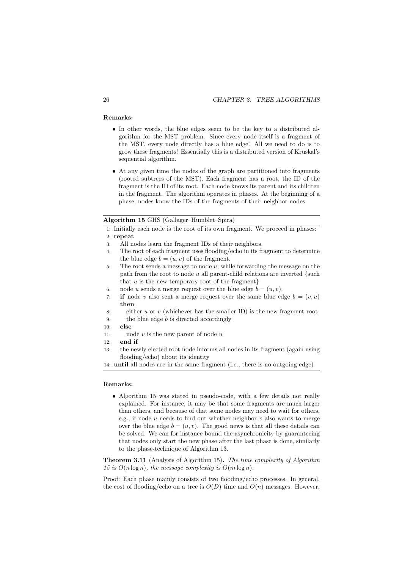#### Remarks:

- In other words, the blue edges seem to be the key to a distributed algorithm for the MST problem. Since every node itself is a fragment of the MST, every node directly has a blue edge! All we need to do is to grow these fragments! Essentially this is a distributed version of Kruskal's sequential algorithm.
- $\bullet\,$  At any given time the nodes of the graph are partitioned into fragments (rooted subtrees of the MST). Each fragment has a root, the ID of the fragment is the ID of its root. Each node knows its parent and its children in the fragment. The algorithm operates in phases. At the beginning of a phase, nodes know the IDs of the fragments of their neighbor nodes.

#### Algorithm 15 GHS (Gallager–Humblet–Spira)

- 1: Initially each node is the root of its own fragment. We proceed in phases:
- 2: repeat
- 3: All nodes learn the fragment IDs of their neighbors.
- 4: The root of each fragment uses flooding/echo in its fragment to determine the blue edge  $b = (u, v)$  of the fragment.
- 5: The root sends a message to node u; while forwarding the message on the path from the root to node  $u$  all parent-child relations are inverted  $\{such$ that  $u$  is the new temporary root of the fragment $\}$
- 6: node u sends a merge request over the blue edge  $b = (u, v)$ .
- 7: if node v also sent a merge request over the same blue edge  $b = (v, u)$ then
- 8: either u or v (whichever has the smaller ID) is the new fragment root 9: the blue edge  $b$  is directed accordingly
- 10: else
- 11: node  $v$  is the new parent of node  $u$
- $12:$  end if
- 13: the newly elected root node informs all nodes in its fragment (again using flooding/echo) about its identity
- 14: until all nodes are in the same fragment (i.e., there is no outgoing edge)

#### Remarks:

• Algorithm 15 was stated in pseudo-code, with a few details not really explained. For instance, it may be that some fragments are much larger than others, and because of that some nodes may need to wait for others, e.g., if node u needs to find out whether neighbor  $v$  also wants to merge over the blue edge  $b = (u, v)$ . The good news is that all these details can be solved. We can for instance bound the asynchronicity by guaranteeing that nodes only start the new phase after the last phase is done, similarly to the phase-technique of Algorithm 13.

Theorem 3.11 (Analysis of Algorithm 15). The time complexity of Algorithm 15 is  $O(n \log n)$ , the message complexity is  $O(m \log n)$ .

Proof: Each phase mainly consists of two flooding/echo processes. In general, the cost of flooding/echo on a tree is  $O(D)$  time and  $O(n)$  messages. However,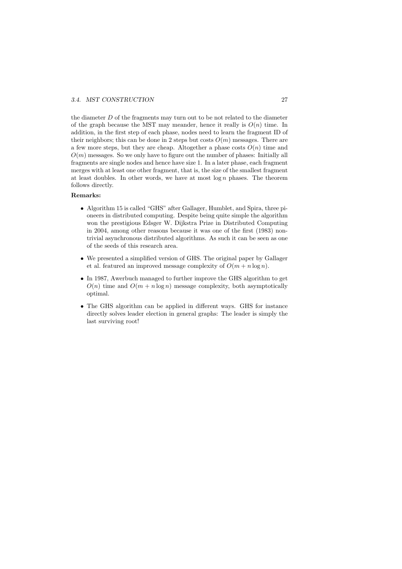the diameter  $D$  of the fragments may turn out to be not related to the diameter of the graph because the MST may meander, hence it really is  $O(n)$  time. In addition, in the first step of each phase, nodes need to learn the fragment ID of their neighbors; this can be done in 2 steps but costs  $O(m)$  messages. There are a few more steps, but they are cheap. Altogether a phase costs  $O(n)$  time and  $O(m)$  messages. So we only have to figure out the number of phases: Initially all fragments are single nodes and hence have size 1. In a later phase, each fragment merges with at least one other fragment, that is, the size of the smallest fragment at least doubles. In other words, we have at most  $\log n$  phases. The theorem follows directly.

### Remarks:

- Algorithm 15 is called "GHS" after Gallager, Humblet, and Spira, three pioneers in distributed computing. Despite being quite simple the algorithm won the prestigious Edsger W. Dijkstra Prize in Distributed Computing in 2004, among other reasons because it was one of the first (1983) nontrivial asynchronous distributed algorithms. As such it can be seen as one of the seeds of this research area.
- We presented a simplified version of GHS. The original paper by Gallager et al. featured an improved message complexity of  $O(m + n \log n)$ .
- In 1987, Awerbuch managed to further improve the GHS algorithm to get  $O(n)$  time and  $O(m + n \log n)$  message complexity, both asymptotically optimal.
- The GHS algorithm can be applied in different ways. GHS for instance directly solves leader election in general graphs: The leader is simply the last surviving root!